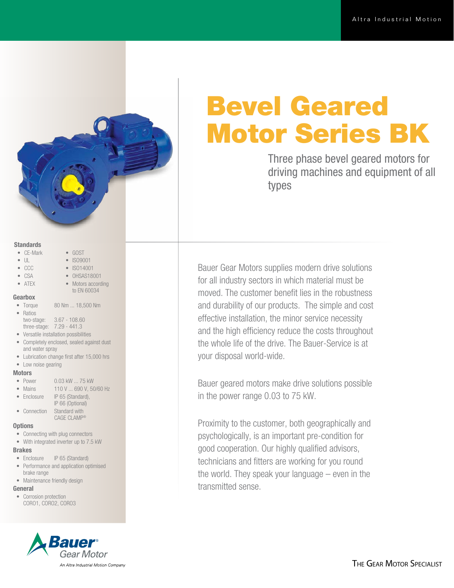# Bevel Geared Motor Series BK

Three phase bevel geared motors for driving machines and equipment of all types

Bauer Gear Motors supplies modern drive solutions for all industry sectors in which material must be moved. The customer benefit lies in the robustness and durability of our products. The simple and cost effective installation, the minor service necessity and the high efficiency reduce the costs throughout the whole life of the drive. The Bauer-Service is at your disposal world-wide.

Bauer geared motors make drive solutions possible in the power range 0.03 to 75 kW.

Proximity to the customer, both geographically and psychologically, is an important pre-condition for good cooperation. Our highly qualified advisors, technicians and fitters are working for you round the world. They speak your language – even in the transmitted sense.

### **Standards**

- CE-Mark
- UL
- CCC
- CSA
- OHSAS18001 • Motors according

• GOST • ISO9001 • ISO14001

to EN 60034

• ATEX

### Gearbox

- Torque 80 Nm ... 18,500 Nm
- Ratios two-stage: 3.67 - 108.60
- three-stage: 7.29 441.3
- Versatile installation possibilities
- Completely enclosed, sealed against dust and water spray
- Lubrication change first after 15,000 hrs
- Low noise gearing

### **Motors**

- Power 0.03 kW ... 75 kW
- Mains 110 V ... 690 V, 50/60 Hz
- Enclosure IP 65 (Standard), IP 66 (Optional)
- Connection Standard with CAGE CLAMP®

## **Options**

- Connecting with plug connectors
- With integrated inverter up to 7.5 kW

### Brakes

- Enclosure IP 65 (Standard)
- Performance and application optimised brake range
- Maintenance friendly design

# General

• Corrosion protection CORO1, CORO2, CORO3